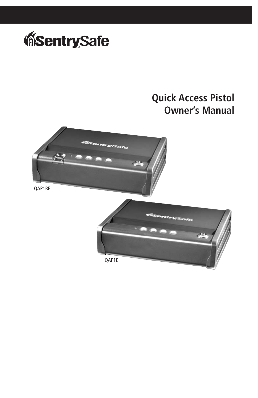

# **Quick Access Pistol Owner's Manual**



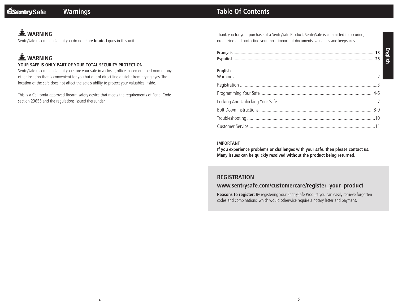# **WARNING**

SentrySafe recommends that you do not store **loaded** guns in this unit.

# **WARNING**

#### **YOUR SAFE IS ONLY PART OF YOUR TOTAL SECURITY PROTECTION.**

SentrySafe recommends that you store your safe in a closet, office, basement, bedroom or any other location that is convenient for you but out of direct line of sight from prying eyes. The location of the safe does not affect the safe's ability to protect your valuables inside.

This is a California-approved firearm safety device that meets the requirements of Penal Code section 23655 and the regulations issued thereunder.

# **Warnings Table Of Contents**

Thank you for your purchase of a SentrySafe Product. SentrySafe is committed to securing, organizing and protecting your most important documents, valuables and keepsakes.

| <b>English</b> |  |
|----------------|--|
|                |  |
|                |  |
|                |  |
|                |  |
|                |  |
|                |  |

#### **IMPORTANT**

**If you experience problems or challenges with your safe, then please contact us. Many issues can be quickly resolved without the product being returned.**

## **REGISTRATION**

### **www.sentrysafe.com/customercare/register\_your\_product**

**Reasons to register:** By registering your SentrySafe Product you can easily retrieve forgotten codes and combinations, which would otherwise require a notary letter and payment.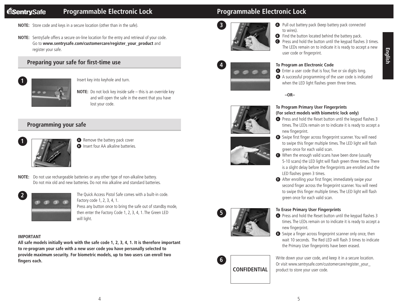#### **MSentrySafe Programmable Electronic Lock**

- **NOTE:** Store code and keys in a secure location (other than in the safe).
- **NOTE:** SentrySafe offers a secure on-line location for the entry and retrieval of your code. Go to **www.sentrysafe.com/customercare/register\_your\_product** and register your safe.

## **Preparing your safe for first-time use**



Insert key into keyhole and turn.

**NOTE:** Do not lock key inside safe – this is an override key and will open the safe in the event that you have lost your code.

### **Programming your safe**



- **<sup>A</sup>** Remove the battery pack cover **B** Insert four AA alkaline batteries.
- **NOTE:** Do not use rechargeable batteries or any other type of non-alkaline battery. Do not mix old and new batteries. Do not mix alkaline and standard batteries.



The Quick Access Pistol Safe comes with a built-in code. Factory code 1, 2, 3, 4, 1. Press any button once to bring the safe out of standby mode, then enter the Factory Code 1, 2, 3, 4, 1. The Green LED will light.

#### **IMPORTANT**

**All safe models initially work with the safe code 1, 2, 3, 4, 1. It is therefore important to re-program your safe with a new user code you have personally selected to provide maximum security. For biometric models, up to two users can enroll two fingers each.**

# **Programmable Electronic Lock**



- **<sup>A</sup>** Pull out battery pack (keep battery pack connected to wires).
- **B** Find the button located behind the battery pack.
- **<sup>C</sup>** Press and hold the button until the keypad flashes 3 times. The LEDs remain on to indicate it is ready to accept a new user code or fingerprint.



**4**

- **To Program an Electronic Code**
- **<sup>A</sup>** Enter a user code that is four, five or six digits long.
- **<sup>B</sup>** A successful programming of the user code is indicated when the LED light flashes green three times.



**To Program Primary User Fingerprints** 

**–OR–**

#### **(For select models with biometric lock only)**

- **<sup>A</sup>** Press and hold the Reset button until the keypad flashes 3 times. The LEDs remain on to indicate it is ready to accept a new fingerprint.
- **<sup>B</sup>** Swipe first finger across fingerprint scanner. You will need to swipe this finger multiple times. The LED light will flash green once for each valid scan.
- **<sup>C</sup>** When the enough valid scans have been done (usually 5-10 scans) the LED light will flash green three times. There is a slight delay before the fingerprints are enrolled and the LED flashes green 3 times.
- **D** After enrolling your first finger, immediately swipe your second finger across the fingerprint scanner. You will need to swipe this finger multiple times. The LED light will flash green once for each valid scan.





#### **To Erase Primary User Fingerprints**

- **<sup>A</sup>** Press and hold the Reset button until the keypad flashes 3 times. The LEDs remain on to indicate it is ready to accept a new fingerprint.
- **B** Swipe a finger across fingerprint scanner only once, then wait 10 seconds. The Red LED will flash 3 times to indicate the Primary User fingerprints have been erased.

Write down your user code, and keep it in a secure location. Or visit www.sentrysafe.com/customercare/register\_your\_ product to store your user code.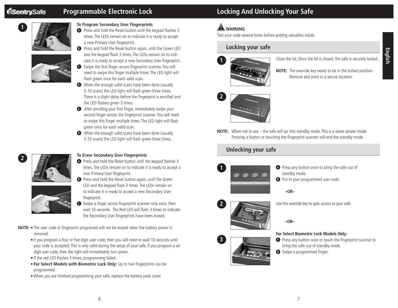

#### **To Program Secondary User Fingerprints**

**<sup>A</sup>** Press and hold the Reset button until the keypad flashes 3 times. The LEDs remain on to indicate it is ready to accept a new Primary User fingerprint.



#### **B** Press and hold the Reset button again, until the Green LED and the keypad flash 3 times. The LEDs remain on to indicate it is ready to accept a new Secondary User fingerprint.

- **<sup>C</sup>** Swipe the first finger across fingerprint scanner. You will need to swipe this finger multiple times. The LED light will flash green once for each valid scan.
- **D** When the enough valid scans have been done (usually 5-10 scans) the LED light will flash green three times. There is a slight delay before the fingerprint is enrolled and the LED flashes green 3 times.
- **<sup>E</sup>** After enrolling your first finger, immediately swipe your second finger across the fingerprint scanner. You will need to swipe this finger multiple times. The LED light will flash green once for each valid scan.
- **D** When the enough valid scans have been done (usually 5-10 scans) the LED light will flash green three times.



#### **To Erase Secondary User Fingerprints**

**<sup>A</sup>** Press and hold the Reset button until the keypad flashes 3 times. The LEDs remain on to indicate it is ready to accept a new Primary User fingerprint.



- **<sup>B</sup>** Press and hold the Reset button again, until the Green LED and the keypad flash 3 times. The LEDs remain on to indicate it is ready to accept a new Secondary User fingerprint.
- **<sup>C</sup>** Swipe a finger across fingerprint scanner only once, then wait 10 seconds. The Red LED will flash 3 times to indicate the Secondary User fingerprints have been erased.
- **NOTE:** The user code or fingerprint programed will not be erased when the battery power is removed.
	- If you program a four or five digit user code, then you will need to wait 10 seconds until your code is accepted. This is only valid during the setup of your safe. If you program a six digit user code, then the light will immediately turn green.
	- If the red LED flashes 3 times, programming failed.
	- **For Select Models with Biometric Lock Only:** Up to two fingerprints can be programmed.
	- When you are finished programming your safe, replace the battery pack cover.

# **Programmable Electronic Lock Locking And Unlocking Your Safe**

# **WARNING**

Test your code several times before putting valuables inside.

# **Locking your safe**



- Close the lid. Once the lid is closed, the safe is securely locked.
- **NOTE:** The override key needs to be in the locked position. Remove and store in a secure location



**NOTE:** When not in use – the safe will go into standby mode. This is a lower power mode. Pressing a button or touching the fingerprint scanner will end the standby mode.

# **Unlocking your safe**



- **A** Press any button once to bring the safe out of standby mode.
- **B** Put in your programmed user code.

**–OR–**



**3**

Use the override key to gain access to your safe.

**–OR–**

#### **For Select Biometric Lock Models Only:**

- **A** Press any button once or touch the fingerprint scanner to bring the safe out of standby mode.
- **B** Swipe a programmed finger.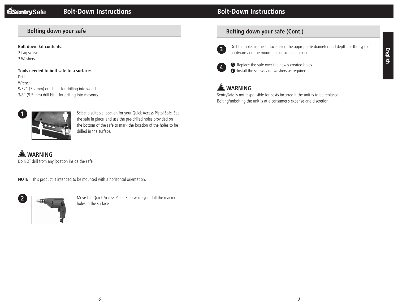# **Bolt-Down Instructions**

# **Bolting down your safe**

#### **Bolt down kit contents:**

2 Lag screws 2 Washers

**Tools needed to bolt safe to a surface:** Drill Wrench 9/32" (7.2 mm) drill bit – for drilling into wood 3/8" (9.5 mm) drill bit – for drilling into masonry



Select a suitable location for your Quick Access Pistol Safe. Set the safe in place, and use the pre-drilled holes provided on the bottom of the safe to mark the location of the holes to be drilled in the surface.

 **WARNING**

Do NOT drill from any location inside the safe.

**NOTE:** This product is intended to be mounted with a horizontal orientation.



Move the Quick Access Pistol Safe while you drill the marked holes in the surface.

# **Bolting down your safe (Cont.)**



Drill the holes in the surface using the appropriate diameter and depth for the type of hardware and the mounting surface being used.



**<sup>A</sup>** Replace the safe over the newly created holes. **B** Install the screws and washers as required.

# **WARNING**

SentrySafe is not responsible for costs incurred if the unit is to be replaced. Bolting/unbolting the unit is at a consumer's expense and discretion.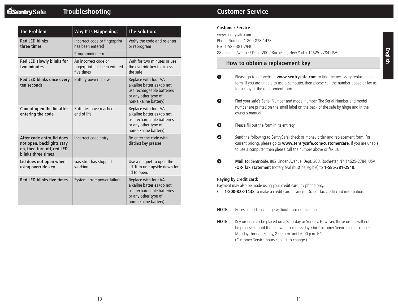| <b>Troubleshooting</b> |
|------------------------|
|------------------------|

| <b>The Problem:</b>                                                                                         | Why It Is Happening:                                               | <b>The Solution:</b>                                                                                                              |
|-------------------------------------------------------------------------------------------------------------|--------------------------------------------------------------------|-----------------------------------------------------------------------------------------------------------------------------------|
| <b>Red LED blinks</b><br>three times                                                                        | Incorrect code or fingerprint<br>has been entered                  | Verify the code and re-enter<br>or reprogram                                                                                      |
|                                                                                                             | Programming error                                                  |                                                                                                                                   |
| Red LED slowly blinks for<br>two minutes                                                                    | An incorrect code or<br>fingerprint has been entered<br>five times | Wait for two minutes or use<br>the override key to access<br>the safe                                                             |
| Red LED blinks once every<br>ten seconds                                                                    | Battery power is low                                               | Replace with four AA<br>alkaline batteries (do not<br>use rechargeable batteries<br>or any other type of<br>non-alkaline battery) |
| Cannot open the lid after<br>entering the code                                                              | Batteries have reached<br>end of life                              | Replace with four AA<br>alkaline batteries (do not<br>use rechargeable batteries<br>or any other type of<br>non-alkaline battery) |
| After code entry, lid does<br>not open, backlights stay<br>on, then turn off, red LED<br>blinks three times | Incorrect code entry                                               | Re-enter the code with<br>distinct key presses                                                                                    |
| Lid does not open when<br>using override key                                                                | Gas strut has stopped<br>working                                   | Use a magnet to open the<br>lid. Turn unit upside down for<br>lid to open.                                                        |
| <b>Red LED blinks five times</b>                                                                            | System error: power failure                                        | Replace with four AA<br>alkaline batteries (do not<br>use rechargeable batteries<br>or any other type of<br>non-alkaline battery) |

# **Customer Service**

www.sentrysafe.com Phone Number: 1-800-828-1438 Fax: 1-585-381-2940 882 Linden Avenue / Dept. 200 / Rochester, New York / 14625-2784 USA

#### **How to obtain a replacement key**

- **1** Please go to our website **www.sentrysafe.com** to find the necessary replacement form. If you are unable to use a computer, then please call the number above or fax us for a copy of the replacement form.
- **<sup>2</sup>** Find your safe's Serial Number and model number. The Serial Number and model number are printed on the small label on the back of the safe by hinge and in the owner's manual.
- **<sup>3</sup>** Please fill out the form in its entirety.
- **4** Send the following to SentrySafe: check or money order and replacement form. For current pricing, please go to **www.sentrysafe.com/customercare**. If you are unable to use a computer, then please call the number above or fax us.
- **<sup>5</sup> Mail to:** SentrySafe, 882 Linden Avenue, Dept. 200, Rochester, NY 14625-2784, USA **-OR- fax statement** (notary seal must be legible) to **1-585-381-2940**.

#### **Paying by credit card:**

Payment may also be made using your credit card, by phone only. Call **1-800-828-1438** to make a credit card payment. Do not fax credit card information.

- **NOTE:** Prices subject to change without prior notification.
- **NOTE:** Key orders may be placed on a Saturday or Sunday. However, those orders will not be processed until the following business day. Our Customer Service center is open Monday through Friday, 8:00 a.m. until 6:00 p.m. E.S.T. (Customer Service hours subject to change.)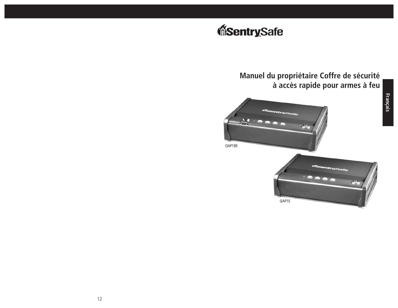# **Manuel du propriétaire Coffre de sécurité à accès rapide pour armes à feu**





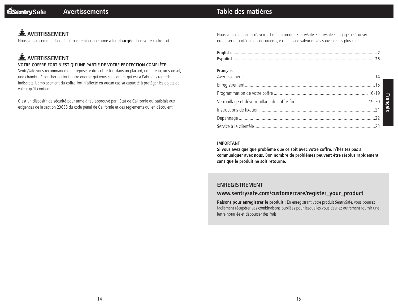# **Table des matières**

# **AVERTISSEMENT**

Nous vous recommandons de ne pas remiser une arme à feu **chargée** dans votre coffre-fort.

# **AVERTISSEMENT**

#### **VOTRE COFFRE-FORT N'EST QU'UNE PARTIE DE VOTRE PROTECTION COMPLÈTE.**

SentrySafe vous recommande d'entreposer votre coffre-fort dans un placard, un bureau, un soussol, une chambre à coucher ou tout autre endroit qui vous convient et qui est à l'abri des regards indiscrets. L'emplacement du coffre-fort n'affecte en aucun cas sa capacité à protéger les objets de valeur qu'il contient.

C'est un dispositif de sécurité pour arme à feu approuvé par l'État de Californie qui satisfait aux exigences de la section 23655 du code pénal de Californie et des règlements qui en découlent.

Nous vous remercions d'avoir acheté un produit SentrySafe. SentrySafe s'engage à sécuriser, organiser et protéger vos documents, vos biens de valeur et vos souvenirs les plus chers.

| <b>Français</b> |  |
|-----------------|--|
|                 |  |
|                 |  |
|                 |  |
|                 |  |
|                 |  |
|                 |  |

#### **IMPORTANT**

**Si vous avez quelque problème que ce soit avec votre coffre, n'hésitez pas à communiquer avec nous. Bon nombre de problèmes peuvent être résolus rapidement sans que le produit ne soit retourné.**

#### **ENREGISTREMENT**

#### **www.sentrysafe.com/customercare/register\_your\_product**

**Raisons pour enregistrer le produit :** En enregistrant votre produit SentrySafe, vous pourrez facilement récupérer vos combinaisons oubliées pour lesquelles vous devriez autrement fournir une lettre notariée et débourser des frais.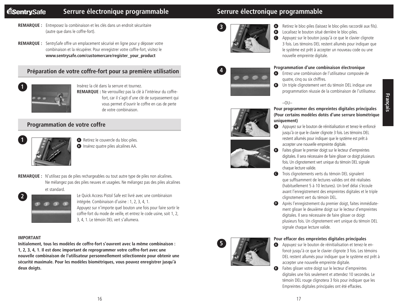#### **Serrure électronique programmable Serrure électronique programmable MSentrySafe**

- **REMARQUE :** Entreposez la combinaison et les clés dans un endroit sécuritaire (autre que dans le coffre-fort).
- **REMARQUE :** SentrySafe offre un emplacement sécurisé en ligne pour y déposer votre combinaison et la récupérer. Pour enregistrer votre coffre-fort, visitez le **www.sentrysafe.com/customercare/register\_your\_product**

# **Préparation de votre coffre-fort pour sa première utilisation**



**1**

Insérez la clé dans la serrure et tournez.

**REMARQUE :** Ne verrouillez pas la clé à l'intérieur du coffrefort, car il s'agit d'une clé de surpassement qui vous permet d'ouvrir le coffre en cas de perte de votre combinaison.

### **Programmation de votre coffre**



- **<sup>A</sup>** Retirez le couvercle du bloc-piles. **<sup>B</sup>** Insérez quatre piles alcalines AA.
- **REMARQUE :** N'utilisez pas de piles rechargeables ou tout autre type de piles non alcalines. Ne mélangez pas des piles neuves et usagées. Ne mélangez pas des piles alcalines et standard.



Le Quick Access Pistol Safe est livré avec une combinaison intégrée. Combinaison d'usine : 1, 2, 3, 4, 1. Appuyez sur n'importe quel bouton une fois pour faire sortir le coffre-fort du mode de veille, et entrez le code usine, soit 1, 2, 3, 4, 1. Le témoin DEL vert s'allumera.

#### **IMPORTANT**

**Initialement, tous les modèles de coffre-fort s'ouvrent avec la même combinaison : 1, 2, 3, 4, 1. Il est donc important de reprogrammer votre coffre-fort avec une nouvelle combinaison de l'utilisateur personnellement sélectionnée pour obtenir une sécurité maximale. Pour les modèles biométriques, vous pouvez enregistrer jusqu'à deux doigts.**



**4**

**5**

- **<sup>A</sup>** Retirez le bloc-piles (laissez le bloc-piles raccordé aux fils). **B** Localisez le bouton situé derrière le bloc-piles.
- **<sup>C</sup>** Appuyez sur le bouton jusqu'à ce que le clavier clignote 3 fois. Les témoins DEL restent allumés pour indiquer que le système est prêt à accepter un nouveau code ou une nouvelle empreinte digitale.

#### **Programmation d'une combinaison électronique**

- **<sup>A</sup>** Entrez une combinaison de l'utilisateur composée de quatre, cinq ou six chiffres.
- **B** Un triple clignotement vert du témoin DEL indique une programmation réussie de la combinaison de l'utilisateur.



#### **Pour programmer des empreintes digitales principales (Pour certains modèles dotés d'une serrure biométrique uniquement)**

- **<sup>A</sup>** Appuyez sur le bouton de réinitialisation et tenez-le enfoncé jusqu'à ce que le clavier clignote 3 fois. Les témoins DEL restent allumés pour indiquer que le système est prêt à accepter une nouvelle empreinte digitale.
- **<sup>B</sup>** Faites glisser le premier doigt sur le lecteur d'empreintes digitales. Il sera nécessaire de faire glisser ce doigt plusieurs fois. Un clignotement vert unique du témoin DEL signale chaque lecture valide.
- **<sup>C</sup>** Trois clignotements verts du témoin DEL signalent que suffisamment de lectures valides ont été réalisées (habituellement 5 à 10 lectures). Un bref délai s'écoule avant l'enregistrement des empreintes digitales et le triple clignotement vert du témoin DEL.
- **<sup>D</sup>** Après l'enregistrement du premier doigt, faites immédiatement glisser le deuxième doigt sur le lecteur d'empreintes digitales. Il sera nécessaire de faire glisser ce doigt plusieurs fois. Un clignotement vert unique du témoin DEL signale chaque lecture valide.

#### **Pour effacer des empreintes digitales principales**

- **<sup>A</sup>** Appuyez sur le bouton de réinitialisation et tenez-le enfoncé jusqu'à ce que le clavier clignote 3 fois. Les témoins DEL restent allumés pour indiquer que le système est prêt à accepter une nouvelle empreinte digitale.
- **<sup>B</sup>** Faites glisser votre doigt sur le lecteur d'empreintes digitales une fois seulement et attendez 10 secondes. Le témoin DEL rouge clignotera 3 fois pour indiquer que les Empreintes digitales principales ont été effacées.



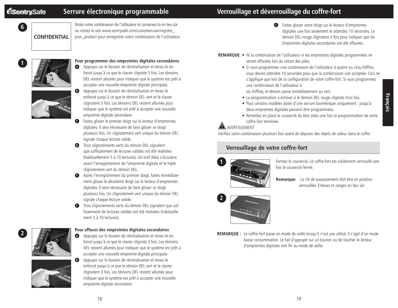**6**

# **Serrure électronique programmable**

# **Verrouillage et déverrouillage du coffre-fort**

**CONFIDENTIAL**

Notez votre combinaison de l'utilisateur et conservez-la en lieu sûr ou visitez le site www.sentrysafe.com/customercare/register\_ your\_product pour enregistrer votre combinaison de l'utilisateur.



#### **Pour programmer des empreintes digitales secondaires**

**<sup>A</sup>** Appuyez sur le bouton de réinitialisation et tenez-le enfoncé jusqu'à ce que le clavier clignote 3 fois. Les témoins DEL restent allumés pour indiquer que le système est prêt à accepter une nouvelle empreinte digitale principale.



- **<sup>B</sup>** Appuyez sur le bouton de réinitialisation et tenez-le enfoncé jusqu'à ce que le témoin DEL vert et le clavier clignotent 3 fois. Les témoins DEL restent allumés pour indiquer que le système est prêt à accepter une nouvelle empreinte digitale secondaire.
- **<sup>C</sup>** Faites glisser le premier doigt sur le lecteur d'empreintes digitales. Il sera nécessaire de faire glisser ce doigt plusieurs fois. Un clignotement vert unique du témoin DEL signale chaque lecture valide.
- **D** Trois clignotements verts du témoin DEL signalent que suffisamment de lectures valides ont été réalisées (habituellement 5 à 10 lectures). Un bref délai s'écoulera avant l'enregistrement de l'empreinte digitale et le triple clignotement vert du témoin DEL.
- **<sup>E</sup>** Après l'enregistrement du premier doigt, faites immédiatement glisser le deuxième doigt sur le lecteur d'empreintes digitales. Il sera nécessaire de faire glisser ce doigt plusieurs fois. Un clignotement vert unique du témoin DEL signale chaque lecture valide.
- **•** Trois clignotements verts du témoin DEL signalent que suffisamment de lectures valides ont été réalisées (habituellement 5 à 10 lectures).



#### **Pour effacer des empreintes digitales secondaires**

**<sup>A</sup>** Appuyez sur le bouton de réinitialisation et tenez-le enfoncé jusqu'à ce que le clavier clignote 3 fois. Les témoins DEL restent allumés pour indiquer que le système est prêt à accepter une nouvelle empreinte digitale principale.



**<sup>B</sup>** Appuyez sur le bouton de réinitialisation et tenez-le enfoncé jusqu'à ce que le témoin DEL vert et le clavier clignotent 3 fois. Les témoins DEL restent allumés pour indiquer que le système est prêt à accepter une nouvelle empreinte digitale secondaire.

- **<sup>C</sup>** Faites glisser votre doigt sur le lecteur d'empreintes digitales une fois seulement et attendez 10 secondes. Le témoin DEL rouge clignotera 3 fois pour indiquer que les Empreintes digitales secondaires ont été effacées.
- **REMARQUE :** Ni la combinaison de l'utilisateur ni les empreintes digitales programmées ne seront effacées lors du retrait des piles.
	- Si vous programmez une combinaison de l'utilisateur à quatre ou cinq chiffres, vous devrez attendre 10 secondes pour que la combinaison soit acceptée. Ceci ne s'applique que lors de la configuration de votre coffre-fort. Si vous programmez une combinaison de l'utilisateur à

six chiffres, le témoin passe immédiatement au vert.

- La programmation a échoué si le témoin DEL rouge clignote trois fois.
- Pour certains modèles dotés d'une serrure biométrique uniquement : jusqu'à deux empreintes digitales peuvent être programmées.
- Remettez en place le couvercle du bloc-piles une fois la programmation de votre coffre-fort terminée.

### **AN AVERTISSEMENT**

Vérifiez votre combinaison plusieurs fois avant de déposer des objets de valeur dans le coffre.

# **Verrouillage de votre coffre-fort**



Fermez le couvercle. Le coffre-fort est solidement verrouillé une fois le couvercle fermé.





**REMARQUE :** Le coffre-fort passe en mode de veille lorsqu'il n'est pas utilisé. Il s'agit d'un mode basse consommation. Le fait d'appuyer sur un bouton ou de toucher le lecteur d'empreintes digitales met fin au mode de veille.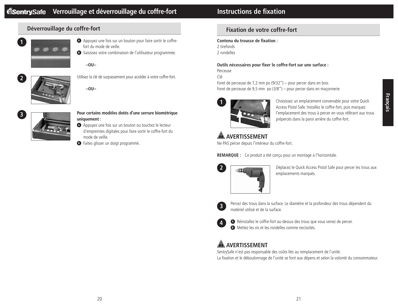# **Déverrouillage du coffre-fort**



- **A** Appuyez une fois sur un bouton pour faire sortir le coffrefort du mode de veille.
- **<sup>B</sup>** Saisissez votre combinaison de l'utilisateur programmée.

**–OU–**



Utilisez la clé de surpassement pour accéder à votre coffre-fort.

**–OU–**



#### **Pour certains modèles dotés d'une serrure biométrique uniquement :**

- **<sup>A</sup>** Appuyez une fois sur un bouton ou touchez le lecteur d'empreintes digitales pour faire sortir le coffre-fort du mode de veille.
- **B** Faites glisser un doigt programmé.

# **Fixation de votre coffre-fort**

#### **Contenu du trousse de fixation :**

2 tirefonds 2 rondelles

#### **Outils nécessaires pour fixer le coffre-fort sur une surface :**

Perceuse

Clé

Foret de perceuse de 7,2 mm po (9/32") – pour percer dans en bois Foret de perceuse de 9,5 mm po (3/8") – pour percer dans en maçonnerie



Choisissez un emplacement convenable pour votre Quick Access Pistol Safe. Installez le coffre-fort, puis marquez l'emplacement des trous à percer en vous référant aux trous prépercés dans la paroi arrière du coffre-fort.

# **A** AVERTISSEMENT

Ne PAS percer depuis l'intérieur du coffre-fort.

**REMARQUE :** Ce produit a été conçu pour un montage à l'horizontale.



Déplacez le Quick Access Pistol Safe pour percer les trous aux emplacements marqués.



Percez des trous dans la surface. Le diamètre et la profondeur des trous dépendent du matériel utilisé et de la surface.



**<sup>A</sup>** Réinstallez le coffre-fort au-dessus des trous que vous venez de percer. **<sup>B</sup>** Mettez les vis et les rondelles comme necissités.

# **A** AVERTISSEMENT

SentrySafe n'est pas responsable des coûts liés au remplacement de l'unité. La fixation et le déboulonnage de l'unité se font aux dépens et selon la volonté du consommateur.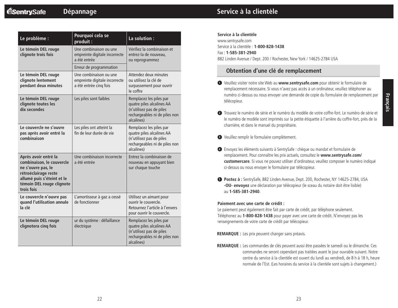| Le problème :                                                                                                                                                            | Pourquoi cela se<br>produit:                                                      | La solution :                                                                                                                   |
|--------------------------------------------------------------------------------------------------------------------------------------------------------------------------|-----------------------------------------------------------------------------------|---------------------------------------------------------------------------------------------------------------------------------|
| Le témoin DEL rouge<br>clignote trois fois                                                                                                                               | Une combinaison ou une<br>empreinte digitale incorrecte<br>a été entrée           | Vérifiez la combinaison et<br>entrez-la de nouveau.<br>ou reprogrammez                                                          |
|                                                                                                                                                                          | Erreur de programmation                                                           |                                                                                                                                 |
| Le témoin DEL rouge<br>clignote lentement<br>pendant deux minutes                                                                                                        | Une combinaison ou une<br>empreinte digitale incorrecte<br>a été entrée cinq fois | Attendez deux minutes<br>ou utilisez la clé de<br>surpassement pour ouvrir<br>le coffre                                         |
| Le témoin DEL rouge<br>clignote toutes les<br>dix secondes                                                                                                               | Les piles sont faibles                                                            | Remplacez les piles par<br>quatre piles alcalines AA<br>(n'utilisez pas de piles<br>rechargeables ni de piles non<br>alcalines) |
| Le couvercle ne s'ouvre<br>pas après avoir entré la<br>combinaison                                                                                                       | Les piles ont atteint la<br>fin de leur durée de vie                              | Remplacez les piles par<br>quatre piles alcalines AA<br>(n'utilisez pas de piles<br>rechargeables ni de piles non<br>alcalines) |
| Après avoir entré la<br>combinaison, le couvercle<br>ne s'ouvre pas, le<br>rétroéclairage reste<br>allumé puis s'éteint et le<br>témoin DEL rouge clignote<br>trois fois | Une combinaison incorrecte<br>a été entrée                                        | Entrez la combinaison de<br>nouveau en appuyant bien<br>sur chaque touche                                                       |
| Le couvercle n'ouvre pas<br>quand l'utilisation annule<br>la clé                                                                                                         | L'amortisseur à gaz a cessé<br>de fonctionner                                     | Utilisez un aimant pour<br>ouvrir le couvercle.<br>Retournez l'article à l'envers<br>pour ouvrir le couvercle.                  |
| Le témoin DEL rouge<br>clignotera cinq fois                                                                                                                              | ur du système : défaillance<br>électrique                                         | Remplacez les piles par<br>quatre piles alcalines AA<br>(n'utilisez pas de piles<br>rechargeables ni de piles non<br>alcalines) |

# **Service à la clientèle**

#### **Service à la clientèle**

www.sentrysafe.com Service à la clientèle : **1-800-828-1438** Fax : **1-585-381-2940** 882 Linden Avenue / Dept. 200 / Rochester, New York / 14625-2784 USA

## **Obtention d'une clé de remplacement**

**<sup>1</sup>** Veuillez visiter notre site Web au **www.sentrysafe.com** pour obtenir le formulaire de remplacement nécessaire. Si vous n'avez pas accès à un ordinateur, veuillez téléphoner au numéro ci-dessus ou nous envoyer une demande de copie du formulaire de remplacement par télécopieur.

- **<sup>2</sup>** Trouvez le numéro de série et le numéro du modèle de votre coffre-fort. Le numéro de série et le numéro de modèle sont imprimés sur la petite étiquette à l'arrière du coffre-fort, près de la charnière, et dans le manuel du propriétaire.
- **<sup>3</sup>** Veuillez remplir le formulaire complètement.
- **<sup>4</sup>** Envoyez les éléments suivants à SentrySafe : chèque ou mandat et formulaire de remplacement. Pour connaître les prix actuels, consultez le **www.sentrysafe.com/ customercare**. Si vous ne pouvez utiliser d'ordinateur, veuillez composer le numéro indiqué ci-dessus ou nous envoyer le formulaire par télécopieur.
- **<sup>5</sup> Postez à :** SentrySafe, 882 Linden Avenue, Dept. 200, Rochester, NY 14625-2784, USA **-OU- envoyez** une déclaration par télécopieur (le sceau du notaire doit être lisible) au **1-585-381-2940**.

#### **Paiement avec une carte de crédit :**

Le paiement peut également être fait par carte de crédit, par téléphone seulement. Téléphonez au **1-800-828-1438** pour payer avec une carte de crédit. N'envoyez pas les renseignements de votre carte de crédit par télécopieur.

**REMARQUE :** Les prix peuvent changer sans préavis.

**REMARQUE :** Les commandes de clés peuvent aussi être passées le samedi ou le dimanche. Ces commandes ne seront cependant pas traitées avant le jour ouvrable suivant. Notre centre du service à la clientèle est ouvert du lundi au vendredi, de 8 h à 18 h, heure normale de l'Est. (Les horaires du service à la clientèle sont sujets à changement.)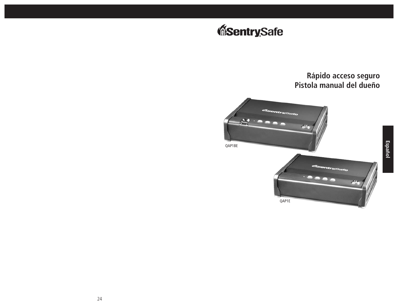# **Rápido acceso seguro Pistola manual del dueño**





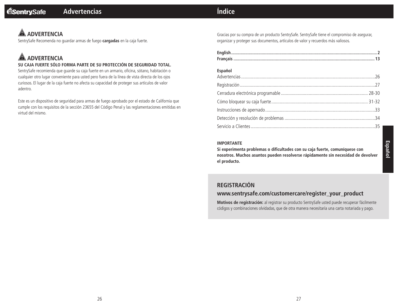# **Índice**

# **A** ADVERTENCIA

SentrySafe Recomenda no guardar armas de fuego **cargadas** en la caja fuerte.

# **A** ADVERTENCIA

#### **SU CAJA FUERTE SÓLO FORMA PARTE DE SU PROTECCIÓN DE SEGURIDAD TOTAL.**

SentrySafe recomienda que guarde su caja fuerte en un armario, oficina, sótano, habitación o cualquier otro lugar conveniente para usted pero fuera de la línea de vista directa de los ojos curiosos. El lugar de la caja fuerte no afecta su capacidad de proteger sus artículos de valor adentro.

Este es un dispositivo de seguridad para armas de fuego aprobado por el estado de California que cumple con los requisitos de la sección 23655 del Código Penal y las reglamentaciones emitidas en virtud del mismo.

Gracias por su compra de un producto SentrySafe. SentrySafe tiene el compromiso de asegurar, organizar y proteger sus documentos, artículos de valor y recuerdos más valiosos.

| <b>Español</b> |  |
|----------------|--|
|                |  |
|                |  |
|                |  |
|                |  |
|                |  |
|                |  |
|                |  |

#### **IMPORTANTE**

**Si experimenta problemas o dificultades con su caja fuerte, comuníquese con nosotros. Muchos asuntos pueden resolverse rápidamente sin necesidad de devolver el producto.**

# **REGISTRACIÓN**

## **www.sentrysafe.com/customercare/register\_your\_product**

**Motivos de registración:** al registrar su producto SentrySafe usted puede recuperar fácilmente códigos y combinaciones olvidadas, que de otra manera necesitaría una carta notariada y pago.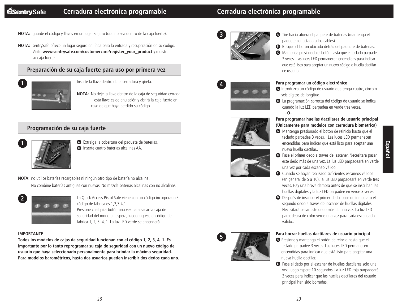# **Cerradura electrónica programable Cerradura electrónica programable**

**NOTA:** guarde el código y llaves en un lugar seguro (que no sea dentro de la caja fuerte).

**NOTA:** sentrySafe ofrece un lugar seguro en línea para la entrada y recuperación de su código. Visite **www.sentrysafe.com/customercare/register\_your\_product** y registre su caja fuerte.

## **Preparación de su caja fuerte para uso por primera vez**



Inserte la llave dentro de la cerradura y gírela.

**NOTA:** No deje la llave dentro de la caja de seguridad cerrada – esta llave es de anulación y abrirá la caja fuerte en caso de que haya perdido su código.

### **Programación de su caja fuerte**



**<sup>A</sup>** Extraiga la cobertura del paquete de baterías. **B** Inserte cuatro baterías alcalinas AA.

**NOTA:** no utilice baterías recargables ni ningún otro tipo de batería no alcalina.

No combine baterías antiguas con nuevas. No mezcle baterías alcalinas con no alcalinas.



La Quick Access Pistol Safe viene con un código incorporado.El código de fábrica es 1,2,3,4,1. Presione cualquier botón una vez para sacar la caja de seguridad del modo en espera, luego ingrese el código de fábrica 1, 2, 3, 4, 1. La luz LED verde se encenderá.

#### **IMPORTANTE**

**Todos los modelos de cajas de seguridad funcionan con el código 1, 2, 3, 4, 1. Es importante por lo tanto reprogramar su caja de seguridad con un nuevo código de usuario que haya seleccionado personalmente para brindar la máxima seguridad. Para modelos barométricos, hasta dos usuarios pueden inscribir dos dedos cada uno.**









**5**



- **<sup>B</sup>** Busque el botón ubicado detrás del paquete de baterías.
- **<sup>C</sup>** Mantenga presionado el botón hasta que el teclado parpadee 3 veces. Las luces LED permanecen encendidas para indicar que está listo para aceptar un nuevo código o huella dactilar de usuario.









- **<sup>A</sup>** Introduzca un código de usuario que tenga cuatro, cinco o seis dígitos de longitud.
- **<sup>B</sup>** La programación correcta del código de usuario se indica cuando la luz LED parpadea en verde tres veces. **–O–**

#### **Para programar huellas dactilares de usuario principal (Únicamente para modelos con cerradura biométrica)**

**<sup>A</sup>** Mantenga presionado el botón de reinicio hasta que el teclado parpadee 3 veces. Las luces LED permanecen encendidas para indicar que está listo para aceptar una nueva huella dactilar..

una vez por cada escaneo válido.

- **<sup>B</sup>** Pase el primer dedo a través del escáner. Necesitará pasar este dedo más de una vez. La luz LED parpadeará en verde
- **<sup>C</sup>** Cuando se hayan realizado suficientes escaneos válidos (en general de 5 a 10), la luz LED parpadeará en verde tres veces. Hay una breve demora antes de que se inscriban las huellas digitales y la luz LED parpadee en verde 3 veces.
- **<sup>D</sup>** Después de inscribir el primer dedo, pase de inmediato el segundo dedo a través del escáner de huellas digitales. Necesitará pasar este dedo más de una vez. La luz LED parpadeará de color verde una vez para cada escaneado válido..

#### **Para borrar huellas dactilares de usuario principal**

- **<sup>A</sup>** Presione y mantenga el botón de reincio hasta que el teclado parpadee 3 veces. Las luces LED permanecen encendidas para indicar que está listo para aceptar una nueva huella dactilar.
- **<sup>B</sup>** Pase el dedo por el escaner de huellas dactilares solo una vez, luego espere 10 segundos. La luz LED roja parpadeará 3 veces para indicar que las huellas dactilares del usuario principal han sido borradas.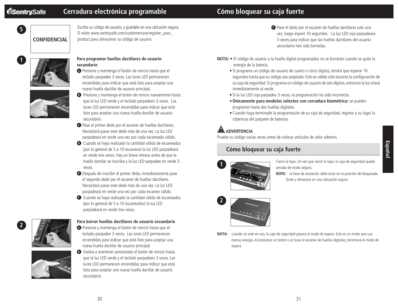**1**

# **Cerradura electrónica programable**

# **Cómo bloquear su caja fuerte**

**5 CONFIDENCIAL**

Escriba su código de usuario, y guárdelo en una ubicación segura. O visite www.sentrysafe.com/customercare/register\_your\_ product para almacenar su código de usuario.



#### **Para programar huellas dactilares de usuario secundario**

**<sup>A</sup>** Presione y mantenga el botón de reincio hasta que el teclado parpadee 3 veces. Las luces LED permanecen encendidas para indicar que está listo para aceptar una nueva huella dactilar de usuario principal.



- **B** Presione y mantenga el botón de reincio nuevamente hasta que la luz LED verde y el teclado parpadeen 3 veces. Las luces LED permanecen encendidas para indicar que está listo para aceptar una nueva huella dactilar de usuario secundario.
- **<sup>C</sup>** Pase el primer dedo por el escaner de huellas dactilares. Necesitará pasar este dedo más de una vez. La luz LED parpadeará en verde una vez por cada escaneado válido.
- **<sup>D</sup>** Cuando se haya realizado la cantidad válida de escaneados (por lo general de 5 a 10 escaneos) la luz LED parpadeará en verde tres veces. Hay un breve retraso antes de que la huella dactilar se inscriba y la luz LED parpadee en verde 3 veces.
- **<sup>E</sup>** Después de inscribir el primer dedo, inmediatamente pase el segundo dedo por el escaner de huellas dactilares. Necesitará pasar este dedo más de una vez. La luz LED parpadeará en verde una vez por cada escaneo válido.
- **<sup>F</sup>** Cuando se haya realizado la cantidad válida de escaneados (por lo general de 5 a 10 escaneados) la luz LED parpadeará en verde tres veces.



#### **Para borrar huellas dactilares de usuario secundario**

**<sup>A</sup>** Presione y mantenga el botón de reincio hasta que el teclado parpadee 3 veces. Las luces LED permanecen encendidas para indicar que está listo para aceptar una nueva huella dactilar de usuario principal.



**<sup>B</sup>** Vuelva a mantener presionado el botón de reincio hasta que la luz LED verde y el teclado parpadeen 3 veces. Las luces LED permanecen encendidas para indicar que está listo para aceptar una nueva huella dactilar de usuario secundario.

- **<sup>C</sup>** Pase el dedo por el escaner de huellas dactilares solo una vez, luego espere 10 segundos. La luz LED roja parpadeará 3 veces para indicar que las huellas dactilares del usuario secundario han sido borradas.
- **NOTA:** El código de usuario o la huella digital programados no se borrarán cuando se quite la energía de la batería.
	- Si programa un código de usuario de cuatro o cinco dígitos, tendrá que esperar 10 segundos hasta que su código sea aceptado. Esto es válido sólo durante la configuración de su caja de seguridad. Si programa un código de usuario de seis dígitos, entonces la luz virará inmediatamente al verde.
	- Si la luz LED roja parpadea 3 veces, la programación ha sido incorrecta.
	- **Únicamente para modelos selectos con cerradura biométrica:** se pueden programar hasta dos huellas digitales.
	- Cuando haya terminado la programación de su caja de seguridad, regrese a su lugar la cobertura del paquete de baterías.

# **AN ADVERTENCIA**

Pruebe su código varias veces antes de colocar artículos de valor adentro.

# **Cómo bloquear su caja fuerte**



Cierre la tapa. Un vez que cierre la tapa, la caja de seguridad queda cerrada de modo seguro.

**NOTA:** la llave de anulación debe estar en la posición de bloqueada. Quite y almacene en una ubicación segura.



**NOTA:** cuando no esté en uso, la caja de seguridad pasará al modo de espera. Este es un modo que usa menos energía. Al presionar un botón o al tocar el escáner de huellas digitales, terminará el modo de espera.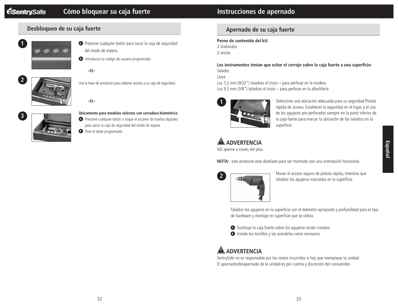## **Desbloqueo de su caja fuerte**



- **<sup>A</sup>** Presione cualquier botón para sacar la caja de seguridad del modo de espera.
- **B** Introduzca su código de usuario programado.





Use la llave de anulación para obtener acceso a su caja de seguridad.

**–O–**



- **Únicamente para modelos selectos con cerradura biométrica:**
- **A** Presione cualquier botón o toque el escáner de huellas digitales para sacar la caja de seguridad del modo de espera.
- **B** Pase el dedo programado.

# **Instrucciones de apernado**

# **Apernado de su caja fuerte**

**Perno de contenido del kit:** 2 tirafondos 2 anclas

**Los instrumentos tenían que echar el cerrojo sobre la caja fuerte a una superficie:** Taladro

Llave

Los 7,2 mm (9/32") taladran el trozo – para perforar en la madera Los 9,5 mm (3/8") taladran el trozo – para perforar en la albañilería



Seleccione una ubicación adecuada para su seguridad Pistola rápida de acceso. Establecer la seguridad en el lugar, y el uso de los agujeros pre-perforados siempre en la parte inferior de la caja fuerte para marcar la ubicación de los taladros en la superficie.

# **A** ADVERTENCIA

NO aperne a través del piso.

**NOTA:** este producto está diseñado para ser montado con una orientación horizontal.



Mover el acceso seguro de pistola rápida, mientras que taladrar los agujeros marcados en la superficie.

Taladrar los agujeros en la superficie con el diámetro apropiado y profundidad para el tipo de hardware y montaje en superficie que se utiliza.

**<sup>A</sup>** Sustituya la caja fuerte sobre los agujeros recién creados. **B** Instale los tornillos y las arandelas como necesario.

# **ADVERTENCIA**

SentrySafe no es responsable por los costos incurridos si hay que reemplazar la unidad. El apernado/desapernado de la unidad es por cuenta y discreción del consumidor.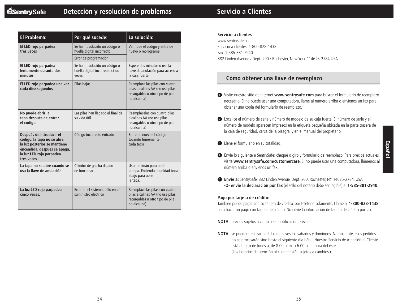# **Detección y resolución de problemas**

|  | <b>Servicio a Clientes</b> |
|--|----------------------------|
|  |                            |

| El Problema:                                                                                                                                                      | Por qué sucede:                                                           | La solución:                                                                                                          |  |
|-------------------------------------------------------------------------------------------------------------------------------------------------------------------|---------------------------------------------------------------------------|-----------------------------------------------------------------------------------------------------------------------|--|
| El LED rojo parpadea<br>tres veces                                                                                                                                | Se ha introducido un código o<br>huella digital incorrecto                | Verifique el código y entre de<br>nuevo o reprograme                                                                  |  |
|                                                                                                                                                                   | Error de programación                                                     |                                                                                                                       |  |
| El LED rojo parpadea<br>lentamente durante dos<br>minutos                                                                                                         | Se ha introducido un código o<br>huella digital incorrecto cinco<br>veces | Espere dos minutos o use la<br>llave de anulación para acceso a<br>la caja fuerte                                     |  |
| El LED rojo parpadea una vez<br>cada diez segundos                                                                                                                | Pilas bajas                                                               | Reemplace las pilas con cuatro<br>pilas alcalinas AA (no use pilas<br>recargables u otro tipo de pila<br>no alcalina) |  |
| No puede abrir la<br>tapa después de entrar<br>el código                                                                                                          | Las pilas han llegado al final de<br>su vida útil                         | Reemplácelas con cuatro pilas<br>alcalinas AA (no use pilas<br>recargables u otro tipo de pila<br>no alcalina)        |  |
| Después de introducir el<br>código, la tapa no se abre,<br>la luz posterior se mantiene<br>encendida, después se apaga,<br>la luz LED roja parpadea<br>tres veces | Código incorrecto entrado                                                 | Entre de nuevo el código<br>tocando firmemente<br>cada tecla                                                          |  |
| La tapa no se abre cuando se<br>usa la llave de anulación                                                                                                         | Cilindro de gas ha dejado<br>de funcionar                                 | Usar un imán para abrir<br>la tapa. Encienda la unidad boca<br>abajo para abrir<br>la tapa.                           |  |
| La luz LED roja parpadea<br>cinco veces.                                                                                                                          | Error en el sistema: fallo en el<br>suministro eléctrico                  | Reemplace las pilas con cuatro<br>pilas alcalinas AA (no use pilas<br>recargables u otro tipo de pila<br>no alcalina) |  |

#### **Servicio a clientes**

www.sentrysafe.com Servicio a clientes: 1-800-828-1438 Fax: 1-585-381-2940 882 Linden Avenue / Dept. 200 / Rochester, New York / 14625-2784 USA

### **Cómo obtener una llave de reemplazo**

- **<sup>1</sup>** Visite nuestro sitio de Internet **www.sentrysafe.com** para buscar el formulario de reemplazo necesario. Si no puede usar una computadora, llame al número arriba o envíenos un fax para obtener una copia del formulario de reemplazo.
- **<sup>2</sup>** Localice el número de serie y número de modelo de su caja fuerte. El número de serie y el número de modelo aparecen impresos en la etiqueta pequeña ubicada en la parte trasera de la caja de seguridad, cerca de la bisagra, y en el manual del propietario.
- **<sup>3</sup>** Llene el formulario en su totalidad.
- **<sup>4</sup>** Envíe lo siguiente a SentrySafe: cheque o giro y formulario de reemplazo. Para precios actuales, visite **www.sentrysafe.com/customercare**. Si no puede usar una computadora, llámenos al número arriba o envíenos un fax.
- **<sup>5</sup> Envíe a:** SentrySafe, 882 Linden Avenue, Dept. 200, Rochester, NY 14625-2784, USA **-O- envíe la declaración por fax** (el sello del notario debe ser legible) al **1-585-381-2940**.

#### **Pago por tarjeta de crédito:**

También puede pagar con su tarjeta de crédito, por teléfono solamente. Llame al **1-800-828-1438** para hacer un pago con tarjeta de crédito. No envíe la información de tarjeta de crédito por fax.

**NOTA:** precios sujetos a cambio sin notificación previa.

**NOTA:** se pueden realizar pedidos de llaves los sábados y domingos. No obstante, esos pedidos no se procesarán sino hasta el siguiente día hábil. Nuestro Servicio de Atención al Cliente está abierto de lunes a, de 8:00 a. m. a 6:00 p. m. hora del este. (Los horarios de atención al cliente están sujetos a cambios.)

**Español**